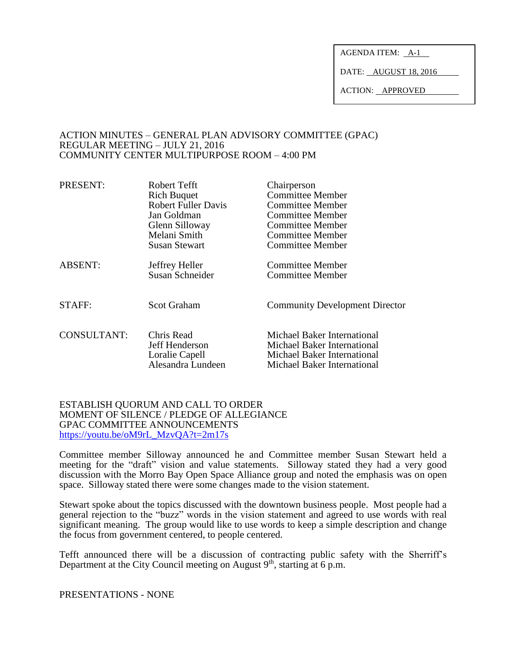AGENDA ITEM: A-1

DATE: AUGUST 18, 2016

ACTION: APPROVED

#### ACTION MINUTES – GENERAL PLAN ADVISORY COMMITTEE (GPAC) REGULAR MEETING – JULY 21, 2016 COMMUNITY CENTER MULTIPURPOSE ROOM – 4:00 PM

| PRESENT:           | Robert Tefft               | Chairperson                           |
|--------------------|----------------------------|---------------------------------------|
|                    | <b>Rich Buquet</b>         | <b>Committee Member</b>               |
|                    | <b>Robert Fuller Davis</b> | <b>Committee Member</b>               |
|                    | Jan Goldman                | <b>Committee Member</b>               |
|                    | Glenn Silloway             | <b>Committee Member</b>               |
|                    | Melani Smith               | <b>Committee Member</b>               |
|                    | <b>Susan Stewart</b>       | <b>Committee Member</b>               |
| <b>ABSENT:</b>     | Jeffrey Heller             | <b>Committee Member</b>               |
|                    | <b>Susan Schneider</b>     | <b>Committee Member</b>               |
|                    |                            |                                       |
| STAFF:             | Scot Graham                | <b>Community Development Director</b> |
| <b>CONSULTANT:</b> | Chris Read                 | Michael Baker International           |
|                    | Jeff Henderson             | Michael Baker International           |
|                    | Loralie Capell             | Michael Baker International           |
|                    | Alesandra Lundeen          | Michael Baker International           |
|                    |                            |                                       |

#### ESTABLISH QUORUM AND CALL TO ORDER MOMENT OF SILENCE / PLEDGE OF ALLEGIANCE GPAC COMMITTEE ANNOUNCEMENTS [https://youtu.be/oM9rL\\_MzvQA?t=2m17s](https://youtu.be/oM9rL_MzvQA?t=2m17s)

Committee member Silloway announced he and Committee member Susan Stewart held a meeting for the "draft" vision and value statements. Silloway stated they had a very good discussion with the Morro Bay Open Space Alliance group and noted the emphasis was on open space. Silloway stated there were some changes made to the vision statement.

Stewart spoke about the topics discussed with the downtown business people. Most people had a general rejection to the "buzz" words in the vision statement and agreed to use words with real significant meaning. The group would like to use words to keep a simple description and change the focus from government centered, to people centered.

Tefft announced there will be a discussion of contracting public safety with the Sherriff's Department at the City Council meeting on August  $9<sup>th</sup>$ , starting at 6 p.m.

PRESENTATIONS - NONE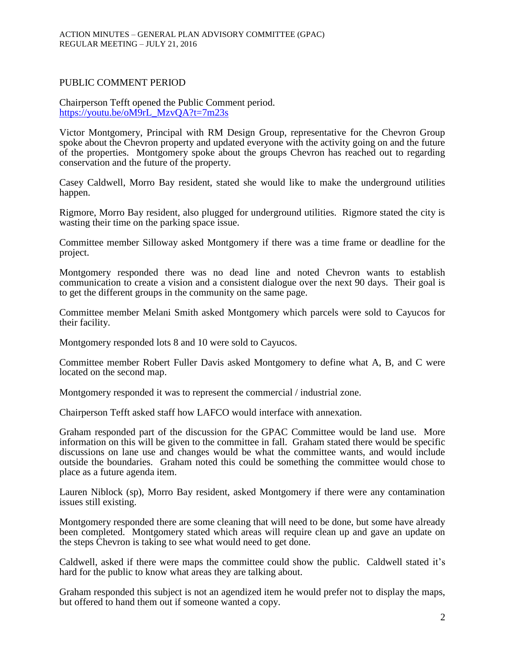### PUBLIC COMMENT PERIOD

Chairperson Tefft opened the Public Comment period. [https://youtu.be/oM9rL\\_MzvQA?t=7m23s](https://youtu.be/oM9rL_MzvQA?t=7m23s)

Victor Montgomery, Principal with RM Design Group, representative for the Chevron Group spoke about the Chevron property and updated everyone with the activity going on and the future of the properties. Montgomery spoke about the groups Chevron has reached out to regarding conservation and the future of the property.

Casey Caldwell, Morro Bay resident, stated she would like to make the underground utilities happen.

Rigmore, Morro Bay resident, also plugged for underground utilities. Rigmore stated the city is wasting their time on the parking space issue.

Committee member Silloway asked Montgomery if there was a time frame or deadline for the project.

Montgomery responded there was no dead line and noted Chevron wants to establish communication to create a vision and a consistent dialogue over the next 90 days. Their goal is to get the different groups in the community on the same page.

Committee member Melani Smith asked Montgomery which parcels were sold to Cayucos for their facility.

Montgomery responded lots 8 and 10 were sold to Cayucos.

Committee member Robert Fuller Davis asked Montgomery to define what A, B, and C were located on the second map.

Montgomery responded it was to represent the commercial / industrial zone.

Chairperson Tefft asked staff how LAFCO would interface with annexation.

Graham responded part of the discussion for the GPAC Committee would be land use. More information on this will be given to the committee in fall. Graham stated there would be specific discussions on lane use and changes would be what the committee wants, and would include outside the boundaries. Graham noted this could be something the committee would chose to place as a future agenda item.

Lauren Niblock (sp), Morro Bay resident, asked Montgomery if there were any contamination issues still existing.

Montgomery responded there are some cleaning that will need to be done, but some have already been completed. Montgomery stated which areas will require clean up and gave an update on the steps Chevron is taking to see what would need to get done.

Caldwell, asked if there were maps the committee could show the public. Caldwell stated it's hard for the public to know what areas they are talking about.

Graham responded this subject is not an agendized item he would prefer not to display the maps, but offered to hand them out if someone wanted a copy.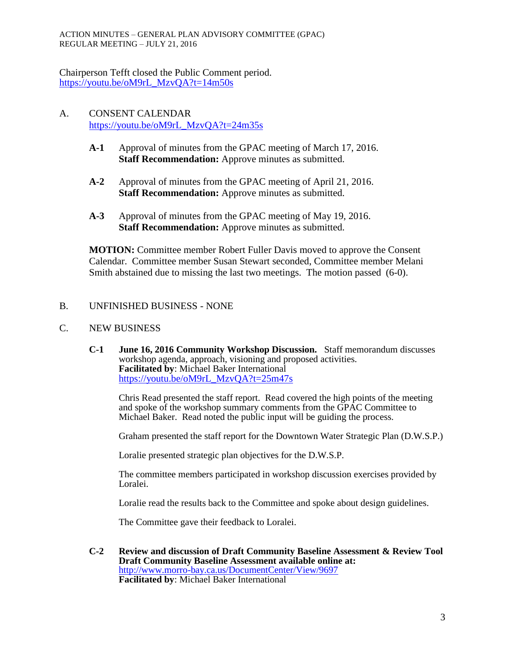ACTION MINUTES – GENERAL PLAN ADVISORY COMMITTEE (GPAC) REGULAR MEETING – JULY 21, 2016

Chairperson Tefft closed the Public Comment period. [https://youtu.be/oM9rL\\_MzvQA?t=14m50s](https://youtu.be/oM9rL_MzvQA?t=14m50s)

# A. CONSENT CALENDAR [https://youtu.be/oM9rL\\_MzvQA?t=24m35s](https://youtu.be/oM9rL_MzvQA?t=24m35s)

- **A-1** Approval of minutes from the GPAC meeting of March 17, 2016. **Staff Recommendation:** Approve minutes as submitted.
- **A-2** Approval of minutes from the GPAC meeting of April 21, 2016. **Staff Recommendation:** Approve minutes as submitted.
- **A-3** Approval of minutes from the GPAC meeting of May 19, 2016. **Staff Recommendation:** Approve minutes as submitted.

**MOTION:** Committee member Robert Fuller Davis moved to approve the Consent Calendar. Committee member Susan Stewart seconded, Committee member Melani Smith abstained due to missing the last two meetings. The motion passed (6-0).

B. UNFINISHED BUSINESS - NONE

## C. NEW BUSINESS

**C-1 June 16, 2016 Community Workshop Discussion.** Staff memorandum discusses workshop agenda, approach, visioning and proposed activities. **Facilitated by**: Michael Baker International [https://youtu.be/oM9rL\\_MzvQA?t=25m47s](https://youtu.be/oM9rL_MzvQA?t=25m47s)

Chris Read presented the staff report. Read covered the high points of the meeting and spoke of the workshop summary comments from the GPAC Committee to Michael Baker. Read noted the public input will be guiding the process.

Graham presented the staff report for the Downtown Water Strategic Plan (D.W.S.P.)

Loralie presented strategic plan objectives for the D.W.S.P.

The committee members participated in workshop discussion exercises provided by Loralei.

Loralie read the results back to the Committee and spoke about design guidelines.

The Committee gave their feedback to Loralei.

**C-2 Review and discussion of Draft Community Baseline Assessment & Review Tool Draft Community Baseline Assessment available online at:** <http://www.morro-bay.ca.us/DocumentCenter/View/9697> **Facilitated by**: Michael Baker International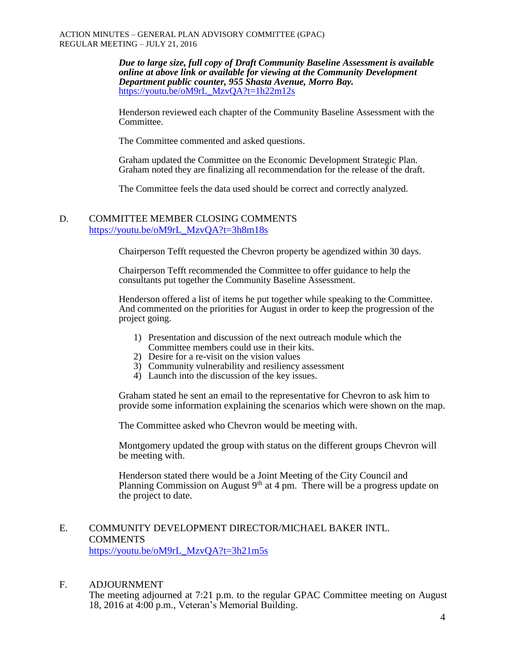*Due to large size, full copy of Draft Community Baseline Assessment is available online at above link or available for viewing at the Community Development Department public counter, 955 Shasta Avenue, Morro Bay.* [https://youtu.be/oM9rL\\_MzvQA?t=1h22m12s](https://youtu.be/oM9rL_MzvQA?t=1h22m12s)

Henderson reviewed each chapter of the Community Baseline Assessment with the Committee.

The Committee commented and asked questions.

Graham updated the Committee on the Economic Development Strategic Plan. Graham noted they are finalizing all recommendation for the release of the draft.

The Committee feels the data used should be correct and correctly analyzed.

## D. COMMITTEE MEMBER CLOSING COMMENTS [https://youtu.be/oM9rL\\_MzvQA?t=3h8m18s](https://youtu.be/oM9rL_MzvQA?t=3h8m18s)

Chairperson Tefft requested the Chevron property be agendized within 30 days.

Chairperson Tefft recommended the Committee to offer guidance to help the consultants put together the Community Baseline Assessment.

Henderson offered a list of items he put together while speaking to the Committee. And commented on the priorities for August in order to keep the progression of the project going.

- 1) Presentation and discussion of the next outreach module which the Committee members could use in their kits.
- 2) Desire for a re-visit on the vision values
- 3) Community vulnerability and resiliency assessment
- 4) Launch into the discussion of the key issues.

Graham stated he sent an email to the representative for Chevron to ask him to provide some information explaining the scenarios which were shown on the map.

The Committee asked who Chevron would be meeting with.

Montgomery updated the group with status on the different groups Chevron will be meeting with.

Henderson stated there would be a Joint Meeting of the City Council and Planning Commission on August  $9<sup>th</sup>$  at 4 pm. There will be a progress update on the project to date.

### E. COMMUNITY DEVELOPMENT DIRECTOR/MICHAEL BAKER INTL. **COMMENTS** [https://youtu.be/oM9rL\\_MzvQA?t=3h21m5s](https://youtu.be/oM9rL_MzvQA?t=3h21m5s)

### F. ADJOURNMENT

The meeting adjourned at 7:21 p.m. to the regular GPAC Committee meeting on August 18, 2016 at 4:00 p.m., Veteran's Memorial Building.